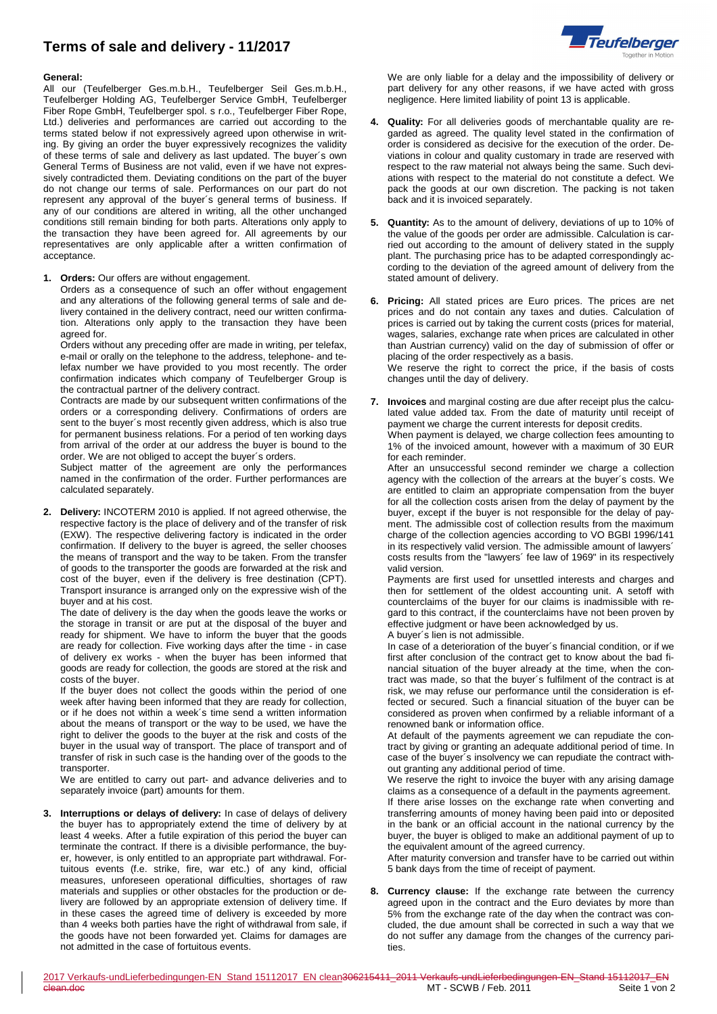## **Terms of sale and delivery - 11/2017**



## **General:**

All our (Teufelberger Ges.m.b.H., Teufelberger Seil Ges.m.b.H., Teufelberger Holding AG, Teufelberger Service GmbH, Teufelberger Fiber Rope GmbH, Teufelberger spol. s r.o., Teufelberger Fiber Rope, Ltd.) deliveries and performances are carried out according to the terms stated below if not expressively agreed upon otherwise in writing. By giving an order the buyer expressively recognizes the validity of these terms of sale and delivery as last updated. The buyer´s own General Terms of Business are not valid, even if we have not expressively contradicted them. Deviating conditions on the part of the buyer do not change our terms of sale. Performances on our part do not represent any approval of the buyer´s general terms of business. If any of our conditions are altered in writing, all the other unchanged conditions still remain binding for both parts. Alterations only apply to the transaction they have been agreed for. All agreements by our representatives are only applicable after a written confirmation of acceptance.

**1. Orders:** Our offers are without engagement.

Orders as a consequence of such an offer without engagement and any alterations of the following general terms of sale and delivery contained in the delivery contract, need our written confirmation. Alterations only apply to the transaction they have been agreed for.

Orders without any preceding offer are made in writing, per telefax, e-mail or orally on the telephone to the address, telephone- and telefax number we have provided to you most recently. The order confirmation indicates which company of Teufelberger Group is the contractual partner of the delivery contract.

Contracts are made by our subsequent written confirmations of the orders or a corresponding delivery. Confirmations of orders are sent to the buyer´s most recently given address, which is also true for permanent business relations. For a period of ten working days from arrival of the order at our address the buyer is bound to the order. We are not obliged to accept the buyer´s orders.

Subject matter of the agreement are only the performances named in the confirmation of the order. Further performances are calculated separately.

**2. Delivery:** INCOTERM 2010 is applied. If not agreed otherwise, the respective factory is the place of delivery and of the transfer of risk (EXW). The respective delivering factory is indicated in the order confirmation. If delivery to the buyer is agreed, the seller chooses the means of transport and the way to be taken. From the transfer of goods to the transporter the goods are forwarded at the risk and cost of the buyer, even if the delivery is free destination (CPT). Transport insurance is arranged only on the expressive wish of the buyer and at his cost.

The date of delivery is the day when the goods leave the works or the storage in transit or are put at the disposal of the buyer and ready for shipment. We have to inform the buyer that the goods are ready for collection. Five working days after the time - in case of delivery ex works - when the buyer has been informed that goods are ready for collection, the goods are stored at the risk and costs of the buyer.

If the buyer does not collect the goods within the period of one week after having been informed that they are ready for collection, or if he does not within a week´s time send a written information about the means of transport or the way to be used, we have the right to deliver the goods to the buyer at the risk and costs of the buyer in the usual way of transport. The place of transport and of transfer of risk in such case is the handing over of the goods to the transporter.

We are entitled to carry out part- and advance deliveries and to separately invoice (part) amounts for them.

**3. Interruptions or delays of delivery:** In case of delays of delivery the buyer has to appropriately extend the time of delivery by at least 4 weeks. After a futile expiration of this period the buyer can terminate the contract. If there is a divisible performance, the buyer, however, is only entitled to an appropriate part withdrawal. Fortuitous events (f.e. strike, fire, war etc.) of any kind, official measures, unforeseen operational difficulties, shortages of raw materials and supplies or other obstacles for the production or delivery are followed by an appropriate extension of delivery time. If in these cases the agreed time of delivery is exceeded by more than 4 weeks both parties have the right of withdrawal from sale, if the goods have not been forwarded yet. Claims for damages are not admitted in the case of fortuitous events.

We are only liable for a delay and the impossibility of delivery or part delivery for any other reasons, if we have acted with gross negligence. Here limited liability of point 13 is applicable.

- **4. Quality:** For all deliveries goods of merchantable quality are regarded as agreed. The quality level stated in the confirmation of order is considered as decisive for the execution of the order. Deviations in colour and quality customary in trade are reserved with respect to the raw material not always being the same. Such deviations with respect to the material do not constitute a defect. We pack the goods at our own discretion. The packing is not taken back and it is invoiced separately.
- **5. Quantity:** As to the amount of delivery, deviations of up to 10% of the value of the goods per order are admissible. Calculation is carried out according to the amount of delivery stated in the supply plant. The purchasing price has to be adapted correspondingly according to the deviation of the agreed amount of delivery from the stated amount of delivery.
- **6. Pricing:** All stated prices are Euro prices. The prices are net prices and do not contain any taxes and duties. Calculation of prices is carried out by taking the current costs (prices for material, wages, salaries, exchange rate when prices are calculated in other than Austrian currency) valid on the day of submission of offer or placing of the order respectively as a basis. We reserve the right to correct the price, if the basis of costs changes until the day of delivery.
- **7. Invoices** and marginal costing are due after receipt plus the calculated value added tax. From the date of maturity until receipt of payment we charge the current interests for deposit credits. When payment is delayed, we charge collection fees amounting to 1% of the invoiced amount, however with a maximum of 30 EUR for each reminder.

After an unsuccessful second reminder we charge a collection agency with the collection of the arrears at the buyer´s costs. We are entitled to claim an appropriate compensation from the buyer for all the collection costs arisen from the delay of payment by the buyer, except if the buyer is not responsible for the delay of payment. The admissible cost of collection results from the maximum charge of the collection agencies according to VO BGBl 1996/141 in its respectively valid version. The admissible amount of lawyers´ costs results from the "lawyers´ fee law of 1969" in its respectively valid version.

Payments are first used for unsettled interests and charges and then for settlement of the oldest accounting unit. A setoff with counterclaims of the buyer for our claims is inadmissible with regard to this contract, if the counterclaims have not been proven by effective judgment or have been acknowledged by us. A buyer´s lien is not admissible.

In case of a deterioration of the buyer´s financial condition, or if we first after conclusion of the contract get to know about the bad financial situation of the buyer already at the time, when the contract was made, so that the buyer´s fulfilment of the contract is at risk, we may refuse our performance until the consideration is effected or secured. Such a financial situation of the buyer can be considered as proven when confirmed by a reliable informant of a renowned bank or information office.

At default of the payments agreement we can repudiate the contract by giving or granting an adequate additional period of time. In case of the buyer´s insolvency we can repudiate the contract without granting any additional period of time.

We reserve the right to invoice the buyer with any arising damage claims as a consequence of a default in the payments agreement. If there arise losses on the exchange rate when converting and transferring amounts of money having been paid into or deposited in the bank or an official account in the national currency by the buyer, the buyer is obliged to make an additional payment of up to the equivalent amount of the agreed currency.

After maturity conversion and transfer have to be carried out within 5 bank days from the time of receipt of payment.

**8. Currency clause:** If the exchange rate between the currency agreed upon in the contract and the Euro deviates by more than 5% from the exchange rate of the day when the contract was concluded, the due amount shall be corrected in such a way that we do not suffer any damage from the changes of the currency parities.